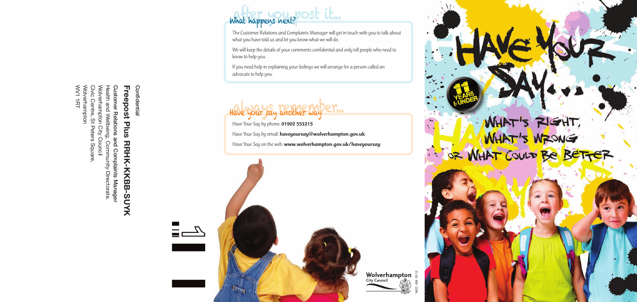**ι ι c⊂p∨os ι ι ιωs ιιτιτιτ∖τικ∪⊃−ο υ**<br>Customer Relations and Complaints Manager<br>Health and Wellbeing, Community Directorate.<br>Wolverhampton City Council<br>Wolverhampton<br>WV1 1RT WV1 1RT Wolverhampton Civic Centre, St Peters Square, Wolverhampton City Council Health and Wellbeing, Community Directorate.

# **Customer Relations and Complaints Manager Freepost Plus Freepost Plus RRHK-KKBB-SUYK RRHK-KKBB-SUYK**

# what happens next? DOSt it...

**Confidential**

 $\equiv \equiv \sqrt{2}$ 

— —<br>———

Confidential

The Customer Relations and Complaints Manager will get in touch with you to talk about what you have told us and let you know what we will do.

We will keep the details of your comments confidential and only tell people who need to know to help you.

> **Wolverhampton**  $\sum_{c}^{24}$ WCC 498 07/12

WHAT'S RIGHT,

If you need help in explaining your feelings we will arrange for a person called an advocate to help you.

## $H$ ave your say another way er.

Have Your Say by phone: **01902 553215** Have Your Say by email: **haveyoursay@wolverhampton.gov.uk** Have Your Say on the web: **www.wolverhampton.gov.uk/haveyoursay**